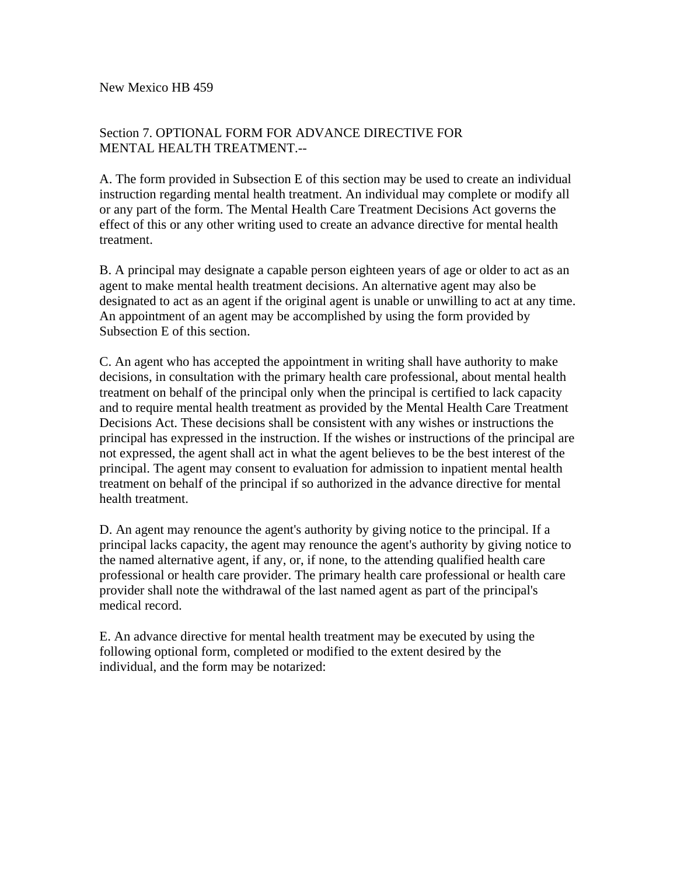#### Section 7. OPTIONAL FORM FOR ADVANCE DIRECTIVE FOR MENTAL HEALTH TREATMENT.--

A. The form provided in Subsection E of this section may be used to create an individual instruction regarding mental health treatment. An individual may complete or modify all or any part of the form. The Mental Health Care Treatment Decisions Act governs the effect of this or any other writing used to create an advance directive for mental health treatment.

B. A principal may designate a capable person eighteen years of age or older to act as an agent to make mental health treatment decisions. An alternative agent may also be designated to act as an agent if the original agent is unable or unwilling to act at any time. An appointment of an agent may be accomplished by using the form provided by Subsection E of this section.

C. An agent who has accepted the appointment in writing shall have authority to make decisions, in consultation with the primary health care professional, about mental health treatment on behalf of the principal only when the principal is certified to lack capacity and to require mental health treatment as provided by the Mental Health Care Treatment Decisions Act. These decisions shall be consistent with any wishes or instructions the principal has expressed in the instruction. If the wishes or instructions of the principal are not expressed, the agent shall act in what the agent believes to be the best interest of the principal. The agent may consent to evaluation for admission to inpatient mental health treatment on behalf of the principal if so authorized in the advance directive for mental health treatment.

D. An agent may renounce the agent's authority by giving notice to the principal. If a principal lacks capacity, the agent may renounce the agent's authority by giving notice to the named alternative agent, if any, or, if none, to the attending qualified health care professional or health care provider. The primary health care professional or health care provider shall note the withdrawal of the last named agent as part of the principal's medical record.

E. An advance directive for mental health treatment may be executed by using the following optional form, completed or modified to the extent desired by the individual, and the form may be notarized: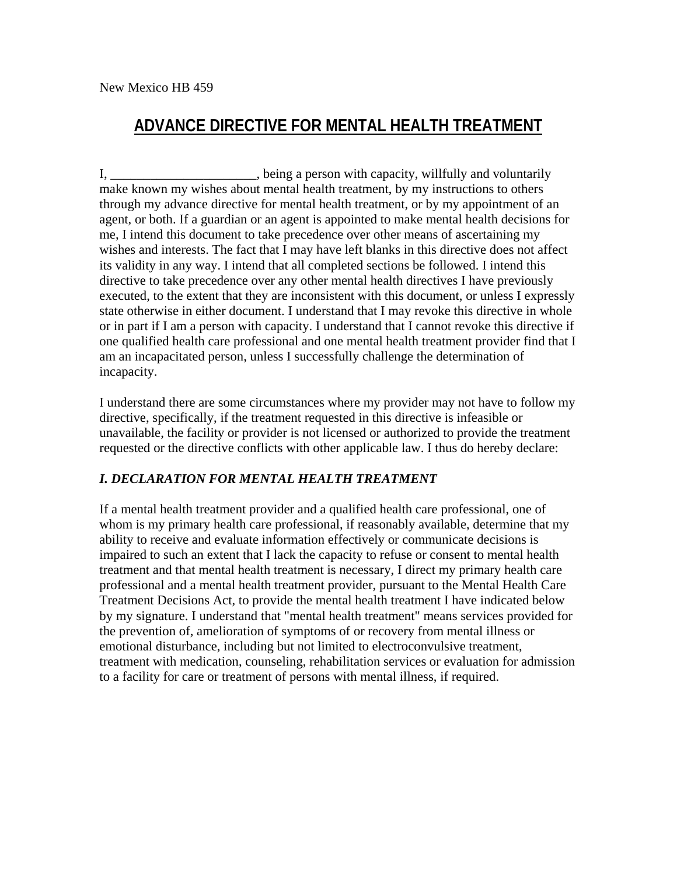New Mexico HB 459

# **ADVANCE DIRECTIVE FOR MENTAL HEALTH TREATMENT**

I, being a person with capacity, willfully and voluntarily make known my wishes about mental health treatment, by my instructions to others through my advance directive for mental health treatment, or by my appointment of an agent, or both. If a guardian or an agent is appointed to make mental health decisions for me, I intend this document to take precedence over other means of ascertaining my wishes and interests. The fact that I may have left blanks in this directive does not affect its validity in any way. I intend that all completed sections be followed. I intend this directive to take precedence over any other mental health directives I have previously executed, to the extent that they are inconsistent with this document, or unless I expressly state otherwise in either document. I understand that I may revoke this directive in whole or in part if I am a person with capacity. I understand that I cannot revoke this directive if one qualified health care professional and one mental health treatment provider find that I am an incapacitated person, unless I successfully challenge the determination of incapacity.

I understand there are some circumstances where my provider may not have to follow my directive, specifically, if the treatment requested in this directive is infeasible or unavailable, the facility or provider is not licensed or authorized to provide the treatment requested or the directive conflicts with other applicable law. I thus do hereby declare:

# *I. DECLARATION FOR MENTAL HEALTH TREATMENT*

If a mental health treatment provider and a qualified health care professional, one of whom is my primary health care professional, if reasonably available, determine that my ability to receive and evaluate information effectively or communicate decisions is impaired to such an extent that I lack the capacity to refuse or consent to mental health treatment and that mental health treatment is necessary, I direct my primary health care professional and a mental health treatment provider, pursuant to the Mental Health Care Treatment Decisions Act, to provide the mental health treatment I have indicated below by my signature. I understand that "mental health treatment" means services provided for the prevention of, amelioration of symptoms of or recovery from mental illness or emotional disturbance, including but not limited to electroconvulsive treatment, treatment with medication, counseling, rehabilitation services or evaluation for admission to a facility for care or treatment of persons with mental illness, if required.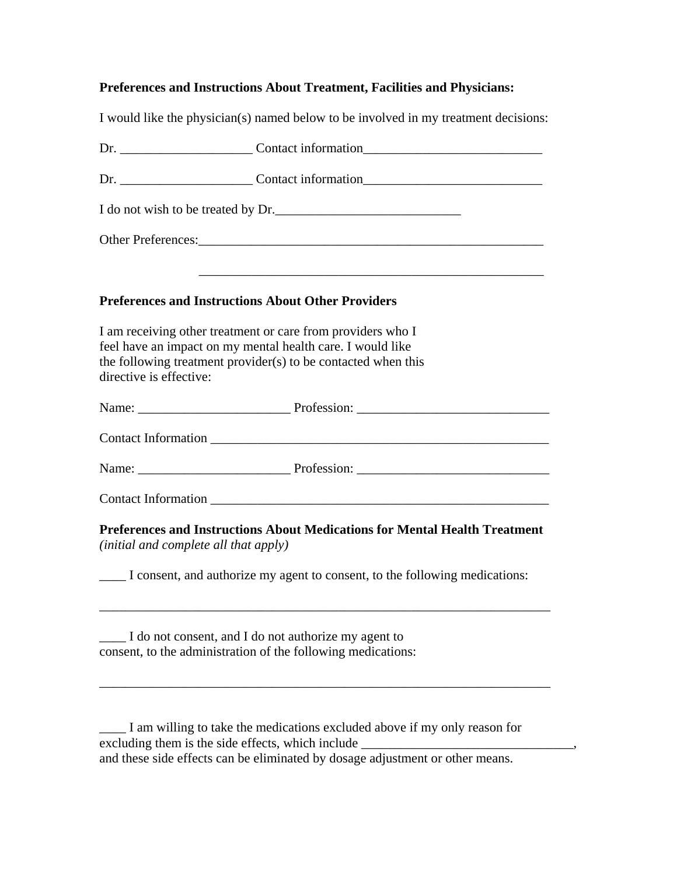# **Preferences and Instructions About Treatment, Facilities and Physicians:**

I would like the physician(s) named below to be involved in my treatment decisions:

|                         | Dr. __________________________Contact information_______________________________                                                                                                                                              |  |  |
|-------------------------|-------------------------------------------------------------------------------------------------------------------------------------------------------------------------------------------------------------------------------|--|--|
|                         | Dr. _________________________Contact information________________________________                                                                                                                                              |  |  |
|                         | I do not wish to be treated by Dr.                                                                                                                                                                                            |  |  |
|                         | Other Preferences: New York Changes and School School School School School School School School School School School School School School School School School School School School School School School School School School |  |  |
|                         | <b>Preferences and Instructions About Other Providers</b>                                                                                                                                                                     |  |  |
|                         | I am receiving other treatment or care from providers who I<br>feel have an impact on my mental health care. I would like                                                                                                     |  |  |
| directive is effective: | the following treatment provider(s) to be contacted when this                                                                                                                                                                 |  |  |
|                         |                                                                                                                                                                                                                               |  |  |
|                         | Contact Information League and Contact Information                                                                                                                                                                            |  |  |
|                         |                                                                                                                                                                                                                               |  |  |
|                         |                                                                                                                                                                                                                               |  |  |
|                         | Preferences and Instructions About Medications for Mental Health Treatment<br>(initial and complete all that apply)                                                                                                           |  |  |
|                         | I consent, and authorize my agent to consent, to the following medications:                                                                                                                                                   |  |  |
|                         | I do not consent, and I do not authorize my agent to<br>consent, to the administration of the following medications:                                                                                                          |  |  |
|                         |                                                                                                                                                                                                                               |  |  |

\_\_\_\_ I am willing to take the medications excluded above if my only reason for excluding them is the side effects, which include \_\_\_\_\_\_\_\_\_\_\_\_\_\_\_\_\_\_\_\_\_\_\_\_\_\_\_\_\_\_, and these side effects can be eliminated by dosage adjustment or other means.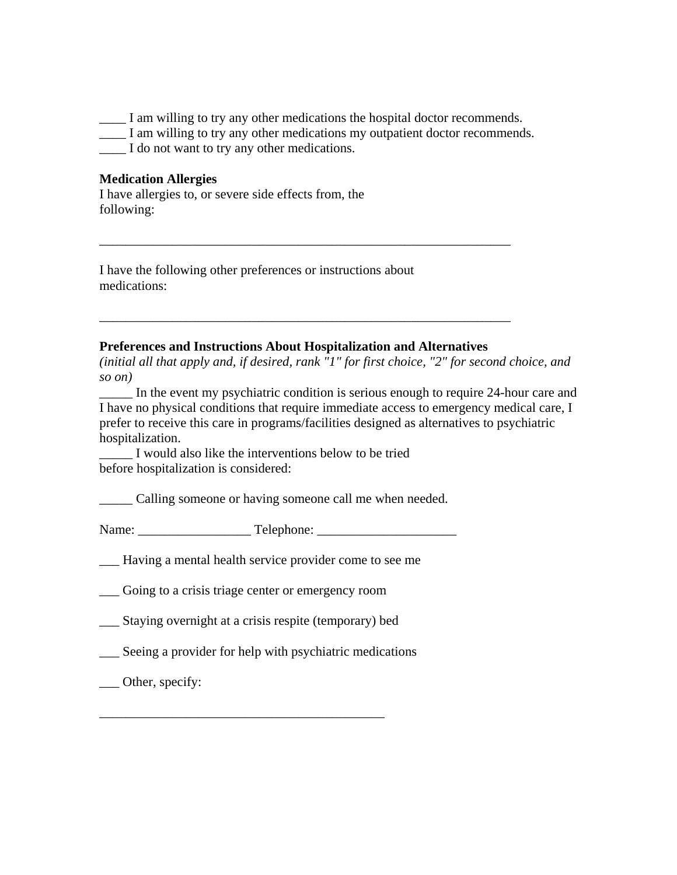\_\_\_\_ I am willing to try any other medications the hospital doctor recommends.

\_\_\_\_\_\_\_\_\_\_\_\_\_\_\_\_\_\_\_\_\_\_\_\_\_\_\_\_\_\_\_\_\_\_\_\_\_\_\_\_\_\_\_\_\_\_\_\_\_\_\_\_\_\_\_\_\_\_\_\_\_\_

\_\_\_\_\_\_\_\_\_\_\_\_\_\_\_\_\_\_\_\_\_\_\_\_\_\_\_\_\_\_\_\_\_\_\_\_\_\_\_\_\_\_\_\_\_\_\_\_\_\_\_\_\_\_\_\_\_\_\_\_\_\_

\_\_\_\_ I am willing to try any other medications my outpatient doctor recommends.

\_\_\_\_ I do not want to try any other medications.

#### **Medication Allergies**

I have allergies to, or severe side effects from, the following:

I have the following other preferences or instructions about medications:

#### **Preferences and Instructions About Hospitalization and Alternatives**

*(initial all that apply and, if desired, rank "1" for first choice, "2" for second choice, and so on)* 

\_\_\_\_\_ In the event my psychiatric condition is serious enough to require 24-hour care and I have no physical conditions that require immediate access to emergency medical care, I prefer to receive this care in programs/facilities designed as alternatives to psychiatric hospitalization.

I would also like the interventions below to be tried before hospitalization is considered:

Calling someone or having someone call me when needed.

Name: Telephone:

\_\_\_ Having a mental health service provider come to see me

\_\_\_ Going to a crisis triage center or emergency room

\_\_\_ Staying overnight at a crisis respite (temporary) bed

\_\_\_\_\_\_\_\_\_\_\_\_\_\_\_\_\_\_\_\_\_\_\_\_\_\_\_\_\_\_\_\_\_\_\_\_\_\_\_\_\_\_\_

Seeing a provider for help with psychiatric medications

\_\_\_ Other, specify: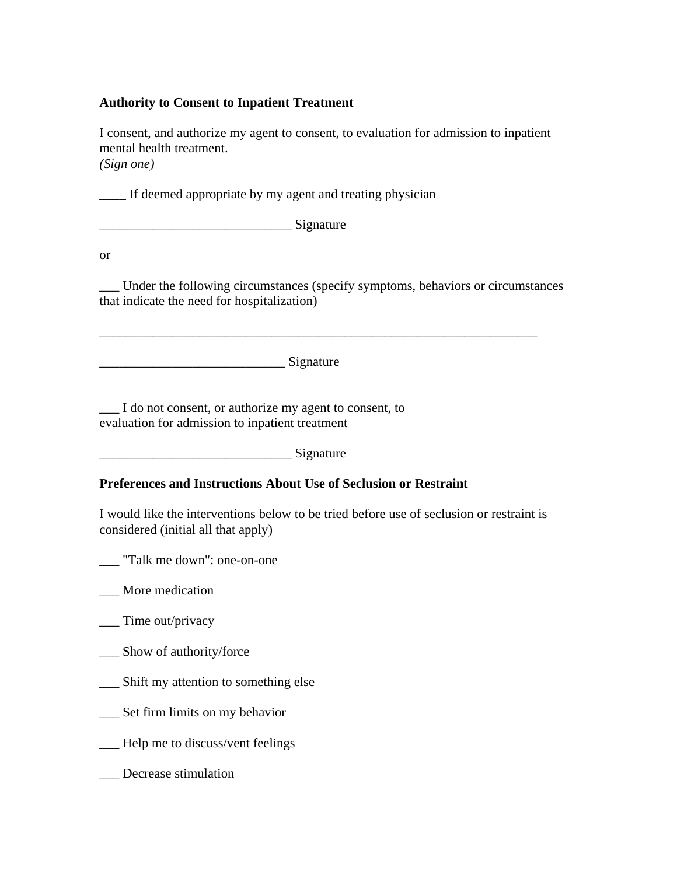#### **Authority to Consent to Inpatient Treatment**

I consent, and authorize my agent to consent, to evaluation for admission to inpatient mental health treatment.

*(Sign one)* 

\_\_\_\_ If deemed appropriate by my agent and treating physician

\_\_\_\_\_\_\_\_\_\_\_\_\_\_\_\_\_\_\_\_\_\_\_\_\_\_\_\_\_ Signature

or

\_\_\_ Under the following circumstances (specify symptoms, behaviors or circumstances that indicate the need for hospitalization)

\_\_\_\_\_\_\_\_\_\_\_\_\_\_\_\_\_\_\_\_\_\_\_\_\_\_\_\_\_\_\_\_\_\_\_\_\_\_\_\_\_\_\_\_\_\_\_\_\_\_\_\_\_\_\_\_\_\_\_\_\_\_\_\_\_\_

\_\_\_\_\_\_\_\_\_\_\_\_\_\_\_\_\_\_\_\_\_\_\_\_\_\_\_\_ Signature

\_\_\_ I do not consent, or authorize my agent to consent, to evaluation for admission to inpatient treatment

\_\_\_\_\_\_\_\_\_\_\_\_\_\_\_\_\_\_\_\_\_\_\_\_\_\_\_\_\_ Signature

## **Preferences and Instructions About Use of Seclusion or Restraint**

I would like the interventions below to be tried before use of seclusion or restraint is considered (initial all that apply)

"Talk me down": one-on-one

\_\_\_ More medication

\_\_\_ Time out/privacy

\_\_\_ Show of authority/force

\_\_\_ Shift my attention to something else

\_\_\_ Set firm limits on my behavior

\_\_\_ Help me to discuss/vent feelings

\_\_\_ Decrease stimulation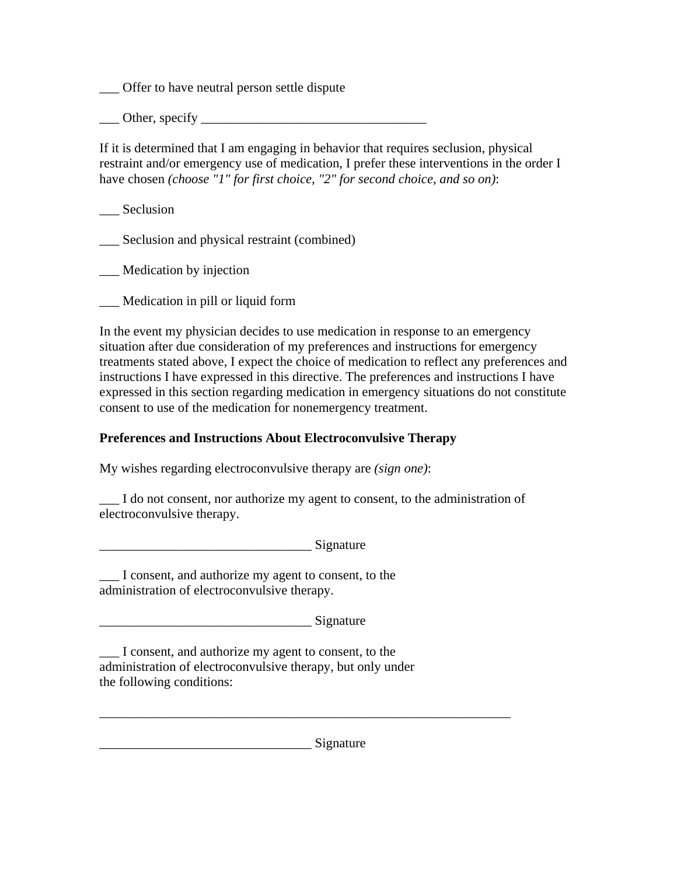\_\_\_ Offer to have neutral person settle dispute

\_\_\_ Other, specify \_\_\_\_\_\_\_\_\_\_\_\_\_\_\_\_\_\_\_\_\_\_\_\_\_\_\_\_\_\_\_\_\_\_

If it is determined that I am engaging in behavior that requires seclusion, physical restraint and/or emergency use of medication, I prefer these interventions in the order I have chosen *(choose "1" for first choice, "2" for second choice, and so on)*:

Seclusion

\_\_\_ Seclusion and physical restraint (combined)

\_\_\_ Medication by injection

\_\_\_ Medication in pill or liquid form

In the event my physician decides to use medication in response to an emergency situation after due consideration of my preferences and instructions for emergency treatments stated above, I expect the choice of medication to reflect any preferences and instructions I have expressed in this directive. The preferences and instructions I have expressed in this section regarding medication in emergency situations do not constitute consent to use of the medication for nonemergency treatment.

#### **Preferences and Instructions About Electroconvulsive Therapy**

My wishes regarding electroconvulsive therapy are *(sign one)*:

\_\_\_ I do not consent, nor authorize my agent to consent, to the administration of electroconvulsive therapy.

\_\_\_\_\_\_\_\_\_\_\_\_\_\_\_\_\_\_\_\_\_\_\_\_\_\_\_\_\_\_\_\_ Signature

\_\_\_ I consent, and authorize my agent to consent, to the administration of electroconvulsive therapy.

\_\_\_\_\_\_\_\_\_\_\_\_\_\_\_\_\_\_\_\_\_\_\_\_\_\_\_\_\_\_\_\_ Signature

\_\_\_ I consent, and authorize my agent to consent, to the administration of electroconvulsive therapy, but only under the following conditions:

 $S$ ignature

\_\_\_\_\_\_\_\_\_\_\_\_\_\_\_\_\_\_\_\_\_\_\_\_\_\_\_\_\_\_\_\_\_\_\_\_\_\_\_\_\_\_\_\_\_\_\_\_\_\_\_\_\_\_\_\_\_\_\_\_\_\_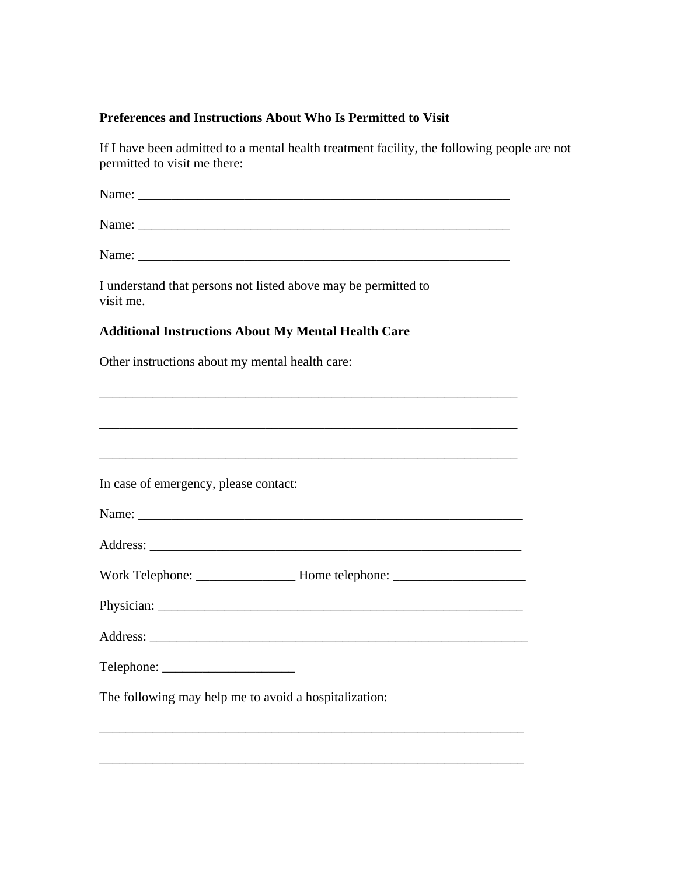# **Preferences and Instructions About Who Is Permitted to Visit**

If I have been admitted to a mental health treatment facility, the following people are not permitted to visit me there:

| I understand that persons not listed above may be permitted to<br>visit me.      |
|----------------------------------------------------------------------------------|
| <b>Additional Instructions About My Mental Health Care</b>                       |
| Other instructions about my mental health care:                                  |
|                                                                                  |
|                                                                                  |
|                                                                                  |
| In case of emergency, please contact:                                            |
|                                                                                  |
|                                                                                  |
| Work Telephone: __________________________Home telephone: ______________________ |
|                                                                                  |
|                                                                                  |
|                                                                                  |
| The following may help me to avoid a hospitalization:                            |
|                                                                                  |

\_\_\_\_\_\_\_\_\_\_\_\_\_\_\_\_\_\_\_\_\_\_\_\_\_\_\_\_\_\_\_\_\_\_\_\_\_\_\_\_\_\_\_\_\_\_\_\_\_\_\_\_\_\_\_\_\_\_\_\_\_\_\_\_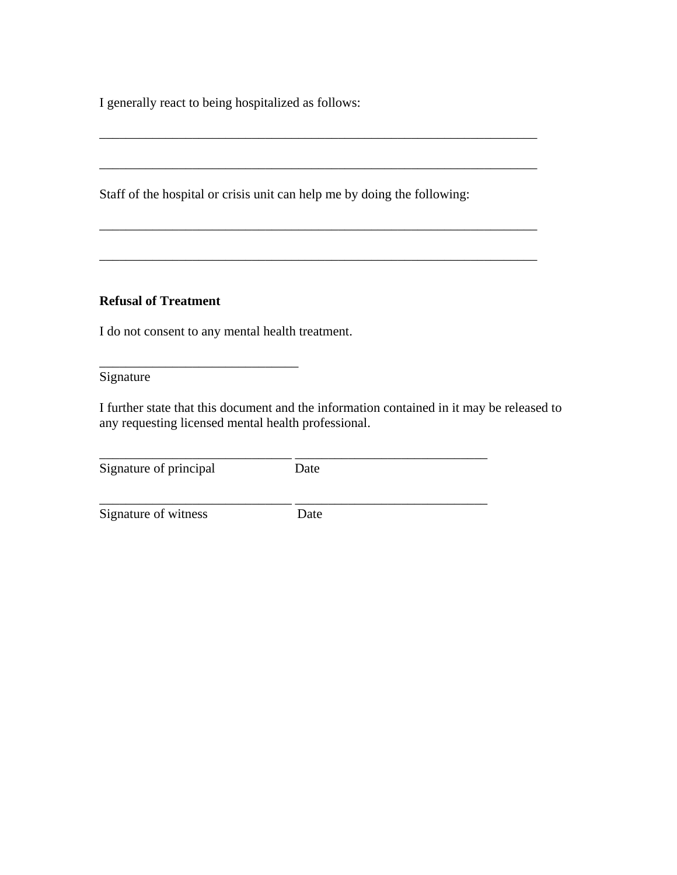I generally react to being hospitalized as follows:

Staff of the hospital or crisis unit can help me by doing the following:

\_\_\_\_\_\_\_\_\_\_\_\_\_\_\_\_\_\_\_\_\_\_\_\_\_\_\_\_\_\_\_\_\_\_\_\_\_\_\_\_\_\_\_\_\_\_\_\_\_\_\_\_\_\_\_\_\_\_\_\_\_\_\_\_\_\_

\_\_\_\_\_\_\_\_\_\_\_\_\_\_\_\_\_\_\_\_\_\_\_\_\_\_\_\_\_\_\_\_\_\_\_\_\_\_\_\_\_\_\_\_\_\_\_\_\_\_\_\_\_\_\_\_\_\_\_\_\_\_\_\_\_\_

\_\_\_\_\_\_\_\_\_\_\_\_\_\_\_\_\_\_\_\_\_\_\_\_\_\_\_\_\_\_\_\_\_\_\_\_\_\_\_\_\_\_\_\_\_\_\_\_\_\_\_\_\_\_\_\_\_\_\_\_\_\_\_\_\_\_

## **Refusal of Treatment**

I do not consent to any mental health treatment.

Signature

I further state that this document and the information contained in it may be released to any requesting licensed mental health professional.

| Signature of principal | Date |  |
|------------------------|------|--|
| Signature of witness   | Date |  |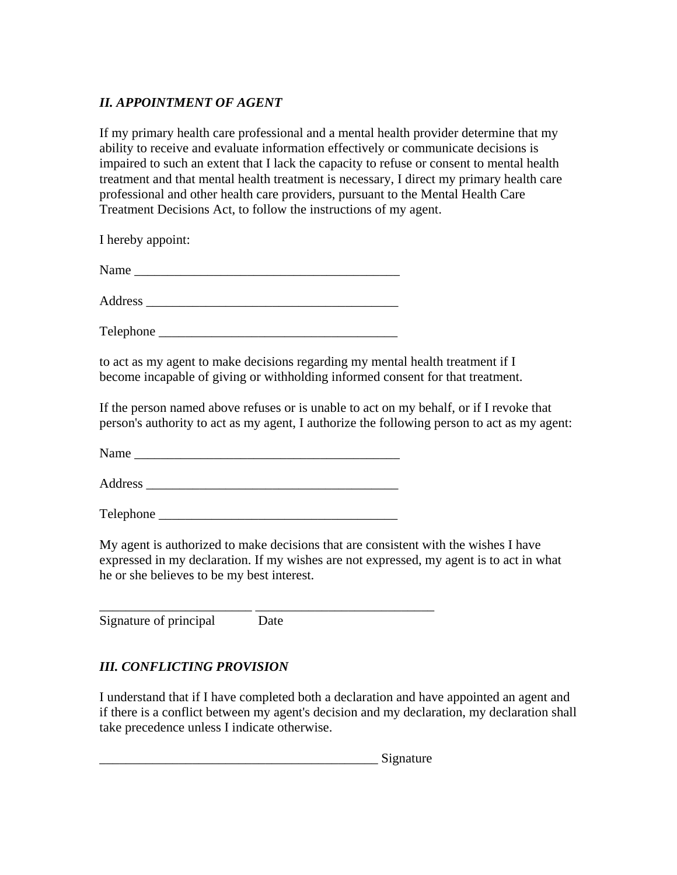# *II. APPOINTMENT OF AGENT*

If my primary health care professional and a mental health provider determine that my ability to receive and evaluate information effectively or communicate decisions is impaired to such an extent that I lack the capacity to refuse or consent to mental health treatment and that mental health treatment is necessary, I direct my primary health care professional and other health care providers, pursuant to the Mental Health Care Treatment Decisions Act, to follow the instructions of my agent.

I hereby appoint:

Name \_\_\_\_\_\_\_\_\_\_\_\_\_\_\_\_\_\_\_\_\_\_\_\_\_\_\_\_\_\_\_\_\_\_\_\_\_\_\_\_

Address  $\overline{A}$ 

Telephone  $\Box$ 

to act as my agent to make decisions regarding my mental health treatment if I become incapable of giving or withholding informed consent for that treatment.

If the person named above refuses or is unable to act on my behalf, or if I revoke that person's authority to act as my agent, I authorize the following person to act as my agent:

Name \_\_\_\_\_\_\_\_\_\_\_\_\_\_\_\_\_\_\_\_\_\_\_\_\_\_\_\_\_\_\_\_\_\_\_\_\_\_\_\_

Address \_\_\_\_\_\_\_\_\_\_\_\_\_\_\_\_\_\_\_\_\_\_\_\_\_\_\_\_\_\_\_\_\_\_\_\_\_\_

Telephone \_\_\_\_\_\_\_\_\_\_\_\_\_\_\_\_\_\_\_\_\_\_\_\_\_\_\_\_\_\_\_\_\_\_\_\_

My agent is authorized to make decisions that are consistent with the wishes I have expressed in my declaration. If my wishes are not expressed, my agent is to act in what he or she believes to be my best interest.

| Signature of principal | Date |
|------------------------|------|

## *III. CONFLICTING PROVISION*

I understand that if I have completed both a declaration and have appointed an agent and if there is a conflict between my agent's decision and my declaration, my declaration shall take precedence unless I indicate otherwise.

 $Signature$